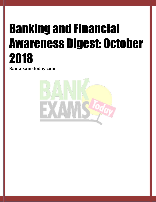# Banking and Financial Awareness Digest: October 2018

**Bankexamstoday.com**

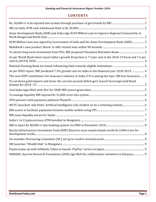### **CONTENTS**

| Asian Development Bank (ADB) and India sign \$150 Million Loan to improve Regional Connectivity in          |
|-------------------------------------------------------------------------------------------------------------|
| \$100 Million Loan was signed by Government of India and the Asian Development Bank (ADB) 3                 |
|                                                                                                             |
| To attract long-term investment from FPIs, RBI proposed Voluntary Retention Route3                          |
| As per World Bank latest report India's growth Projection is 7.3 per cent in the 2018-19 fiscal and 7.5 per |
|                                                                                                             |
| As per WEO report, IMF predicted 7.3% growth rate for India in this financial year 2018-2019.  4            |
| The new GDPI contributors for insurance industry in India, U.P is among the tops: SBI Gen Insurance 5       |
| To cut down gold imports and lower the current account deficit govt. launch Sovereign Gold Bond             |
|                                                                                                             |
|                                                                                                             |
|                                                                                                             |
| IRCTC launched 'Ask Disha' Artificial Intelligence (AI) chatbot on its e-ticketing website 6                |
|                                                                                                             |
|                                                                                                             |
|                                                                                                             |
|                                                                                                             |
| Kerala Infrastructure Investment Fund (KIIF) Board to issue masala bonds worth Rs 5,000 crore for           |
|                                                                                                             |
|                                                                                                             |
|                                                                                                             |
| NABARD, Ayurvet Research Foundation (AFR) sign MoU for collaborative initiatives in Haryana  9              |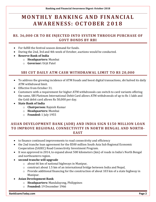# **M O N T H L Y B A N K I N G A N D F I N A N C I AL A W A R E N E S S : O C T O B E R 20 1 8**

#### <span id="page-2-0"></span>**RS. 36,000 CR TO BE INJECTED INTO SYSTEM THROUGH PURCHASE OF GOVT BONDS BY RBI**

- For fulfill the festival season demand for funds.
- During the 2nd, 3rd and 4th week of October, auctions would be conducted.
- **Reserve Bank of India**
	- o **Headquarters:** Mumbai
	- o **Governor:** Urjit Patel

#### **SBI CUT DAILY ATM CASH WITHDRAWAL LIMIT TO RS 20,000**

- <span id="page-2-1"></span> To address the growing incidence of ATM frauds and boost digital transactions, sbi halved its daily ATM withdrawal limit.
- Effective from October 31.
- Customers with a requirement for higher ATM withdrawals can switch to card variants offering the same, SBI Platinum International Debit Card allows ATM withdrawals of up to Rs 1 lakh and the Gold debit card allows Rs 50,000 per day.
- **State Bank of India**
	- o **Chairperson:** Rajnish Kumar
	- o **Headquarters:** Mumbai
	- o **Founded:** 1 July 1955

#### <span id="page-2-2"></span>**ASIAN DEVELOPMENT BANK (ADB) AND INDIA SIGN \$150 MILLION LOAN TO IMPROVE REGIONAL CONNECTIVITY IN NORTH BENGAL AND NORTH-EAST**

- to finance continued improvements to road connectivity and efficiency
- the 2nd tranche loan agreement for the \$500 million South Asia Sub Regional Economic Cooperation (SASEC) Road Connectivity Investment Program.
- It was approved in 2014, to expand about 500 kilometers (km) of roads in India's North Bengal and northeastern region.
- **second tranche will upgrade**
	- o about 66 km of national highways in Manipur,
	- o construct about 1.5 km of an international bridge between India and Nepal,
	- o Provide additional financing for the construction of about 103 km of a state highway in Manipur.
- **Asian Development Bank**
	- o **Headquarters:** Mandaluyong, Philippines
	- o **Founded:** 19 December 1966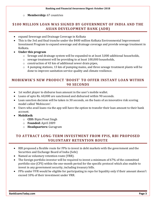o **Membership:** 67 countries

#### <span id="page-3-0"></span>**\$100 MILLION LOAN WAS SIGNED BY GOVERNMENT OF INDIA AND THE ASIAN DEVELOPMENT BANK (ADB)**

- expand Sewerage and Drainage Coverage in Kolkata
- This is the 3rd and final tranche under the \$400 million Kolkata Environmental Improvement Investment Program to expand sewerage and drainage coverage and provide sewage treatment in Kolkata.
- **Under this program**
	- o Sewage and drainage system will be expanded to at least 3,000 additional households,
	- o sewage treatment will be providing to at least 100,000 households,
	- o construction of 43 km of additional sewer drain pipes,
	- o 4 pumping stations, 13 km of pumping mains, and three sewage treatment plants will be done to improve sanitation service quality and climate resilience.

#### <span id="page-3-1"></span>**MOBIKWIK'S NEW PRODUCT 'BOOST' TO OFFER INSTANT LOAN WITHIN 90 SECONDS**

- 1st wallet player to disburse loan amount in the user's mobile wallet.
- Loans of upto Rs. 60,000 are sanctioned and disbursed within 90 seconds.
- Loan sanction decision will be taken in 30 seconds, on the basis of an innovative risk scoring model called 'Mobiscore'.
- Users who avail loans via the app will have the option to transfer their loan amount to their bank account.
- **MobiKwik**
	- o **CEO:** Bipin Preet Singh
	- o **Founded:** April 2009
	- o **Headquarters:** Gurugram

#### <span id="page-3-2"></span>**TO ATTRACT LONG-TERM INVESTMENT FROM FPIS, RBI PROPOSED VOLUNTARY RETENTION ROUTE**

- RBI proposed a flexible route for FPIs to invest in debt markets with the government and the Securities and Exchange Board of India (Sebi)
- Named as voluntary retention route (VRR).
- The foreign portfolio investor will be required to invest a minimum of 67% of the committed portfolio size (CPS) within the one-month period for the specific protocol which also enable to invest in any government security, including treasury bills.
- FPIs under VVR would be eligible for participating in repo for liquidity only if their amount doesn't exceed 10% of their investment under VRR.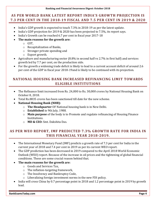#### **Banking and Financial Awareness Digest: October 2018**

#### <span id="page-4-0"></span>**AS PER WORLD BANK LATEST REPORT INDIA'S GROWTH PROJECTION IS 7.3 PER CENT IN THE 2018-19 FISCAL AND 7.5 PER CENT IN 2019 & 2020**

- India's GDP growth is expected to touch 7.3% in 2018-19 as per the latest update.
- India's GDP projection for 2019 & 2020 has been projected to 7.5%, its report says.
- India's Growth can be reached 6.7 per cent in fiscal year 2017-18
- **The main reasons for the growth are:**
	- o GST,
	- o Recapitalization of Banks,
	- o Stronger private spending and
	- o Export growth.
- Agriculture and manufacturing sector (8.8% in second half vs 2.7% in first half) and services growth led by 7.7 per cent, on the production side.
- For the growth a widening trade deficit is likely to lead to a current account deficit of around 2.6 per cent of the GDP in fiscal year 2018-19and is likely to be continued with its projection.

#### <span id="page-4-1"></span>**NATIONAL HOUSING BANK INCREASED REFINANCING LIMIT TOWARDS ELIGIBLE INSTITUTIONS**

- The Refinance limit increased from Rs. 24,000 to Rs. 30,000 crores by National Housing Bank on October 8, 2018.
- Total Rs.8835 crores has been sanctioned till date for the new scheme.
- **National Housing Bank (NHB):**
	- o **The Headquarter** OF National housing bank is in New Delhi.
	- o **Established** in 9th July, 1988.
	- o **Main purpose** of the body is to Promote and regulate refinancing of Housing Finance Institutions.
	- o **MD & CEO:** Smt. Dakshita Das.

#### <span id="page-4-2"></span>**AS PER WEO REPORT, IMF PREDICTED 7.3% GROWTH RATE FOR INDIA IN THIS FINANCIAL YEAR 2018-2019.**

- The International Monetary Fund (IMF) predicts a growth rate of 7.3 per cent for India in the current year of 2018 and 7.4 per cent in 2019 as per its current WEO report.
- The GDP prediction has been decreased in 2019 compared to the April 2018 World Economic Outlook (WEO) report. Because of the increase in oil prices and the tightening of global financial conditions. These are some crucial reason behind that.
- **The main reasons for the growth are:**
	- o Goods and Services Tax,
	- o The inflation-targeting framework,
	- o The Insolvency and Bankruptcy Code,
	- o Liberalizing foreign investment norms in the new FDI policy.
- India will cross China by 0.7 percentage point in 2018 and 1.2 percentage point in 2019 by growth lead.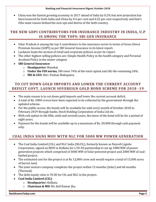China was the fastest growing economy in 2017 ahead of India by 0.2% but new projection has been lowered for both India and China by 0.4 per cent and 0.32 per cent respectively and that's t5he main reason behind the new ups and downs of the both country.

#### <span id="page-5-0"></span>**THE NEW GDPI CONTRIBUTORS FOR INSURANCE INDUSTRY IN INDIA, U.P IS AMONG THE TOPS: SBI GEN INSURANCE**

- Uttar Pradesh is among the top 5 contributors to the insurance sector in terms of Gross Direct Premium Income (GDPI) as per SBI General Insurance in its latest report.
- Lucknow leads the section of retail and corporate policies as per its report.
- The other highest selling policies are: Simple Health Policy in the health category and Personal Accident Policy in the motor category
- **SBI General Insurance:**
	- o **Headquarter:** Mumbai.
	- o **Under the FDI norms**, SBI owns 74% of the total capital and IAG the remaining 26%.
	- o **MD & CEO:** Shri. Pushan Mahapatra.

#### <span id="page-5-1"></span>**TO CUT DOWN GOLD IMPORTS AND LOWER THE CURRENT ACCOUNT DEFICIT GOVT. LAUNCH SOVEREIGN GOLD BOND SCHEME FOR 2018 -19**

- The main reason is to cut down gold imports and lower the current account deficit.
- A total of Rs. 5000 crores have been expected to be collected by the government through the updated scheme.
- For the public access, the bonds will be available for sold every month of October 2018 to February 2019 through banks, Stock Holding Corporation of India Ltd etc.
- With exit option in the fifth, sixth and seventh years, the tenor of the bond will be for a period of eight years.
- Payment for the bonds will be available up to a maximum of Rs. 20,000 through cash payment only.

#### <span id="page-5-2"></span>**COAL INDIA SIGNS MOU WITH NLC FOR 5000 MW POWER GENERATION**

- The Coal India Limited (CIL) and NLC India (NLCIL), formerly known as Neyveli Lignite Corporation, signed an MOU in Kolkata for a 50-50 partnership to set up 5000 MW of power generation projects which comprised of 3000 MW of Solar powered project and 2000 MW of coalfuelled project.
- The estimated cost for the project is at Rs 12,000 crore and would require a total of 15,000 acres of barren land.
- The joint venture company completes the project within 15 months (Solar) and 60 months (Thermal).
- The debt-equity ratio is 70:30 for CIL and NLC in the project.
- **Coal India Limited (CIL):**
	- o **Headquarter:** Kolkata.
	- o **Chairman & MD:** Mr Anil Kumar Jha.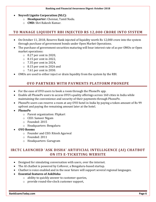- **Neyveli Lignite Corporation (NLC):**
	- o **Headquarter:** Chennai, Tamil Nadu.
	- o **CMD:** Shri Rakesh Kumar.

#### <span id="page-6-0"></span>**TO MANAGE LIQUIDITY RBI INJECTED RS 12,000 CRORE INTO SYSTEM**

- On October 11, 2018, Reserve Bank injected of liquidity worth Rs 12,000 crore into the system through purchase of government bonds under Open Market Operations.
- The purchase of government securities maturing will bear interest rate of as per OMOs or Open market operations:
	- o 8.27 per cent in 2020,
	- o 8.15 per cent in 2022,
	- o 7.35 per cent in 2024,
	- o 8.15 per cent in 2026 and
	- o 7.61 per cent in 2030.
	- OMOs are used to either inject or drain liquidity from the system by the RBI.

#### **OYO PARTNERS WITH PAYMENTS PLATFORM PHONEPE**

- <span id="page-6-1"></span>For the ease of OYO users to book a room through the PhonePe app.
- Enable all PhonePe users to access OYO's quality offerings across 160 cities in India while maintaining the convenience and security of their payments through PhonePe.
- PhonePe users can reserve a room at any OYO hotel in India by paying a token amount of Rs 99 upfront and paying the remaining amount later at the hotel.
- **PhonePe**
	- o Parent organization: Flipkart
	- o CEO: Sameer Nigam
	- o Founded: 2015
	- o Headquarters: Bengaluru
- **OYO Rooms**
	- o Founder and CEO: Ritesh Agarwal
	- o Founded: 2011
	- o Headquarters: Gurugram

#### <span id="page-6-2"></span>**IRCTC LAUNCHED 'ASK DISHA' ARTIFICIAL INTELLIGENCE (AI) CHATBOT ON ITS E-TICKETING WEBSITE**

- Designed for simulating conversation with users, over the internet.
- The AI chatbot is powered by CoRover, a Bengaluru-based startup.
- Chatbot is voice enabled and in the near future will support several regional languages.
- **Essential features of AskDisha**
	- o ability to quickly answer to customer queries,
	- o provide round-the-clock customer support,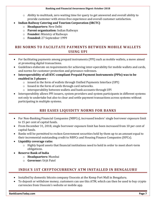o Ability to multitask, zero waiting time for query to get answered and overall ability to provide customer with stress-free experience and overall customer satisfaction.

#### **Indian Railway Catering and Tourism Corporation (IRCTC)**

- o **Headquarters:** New Delhi
- o **Parent organization:** Indian Railways
- o **Founder:** Ministry of Railways
- o **Founded:** 27 September 1999

#### <span id="page-7-0"></span>**RBI NORMS TO FACILITATE PAYMENTS BETWEEN MOBILE WALLETS USING UPI**

- For facilitating payments among prepaid instruments (PPI) such as mobile wallets, a move aimed at promoting digital transactions.
- Guidelines elaborate on requirements for achieving inter-operability for mobile wallets and cards, and norms for customer protection and grievance redresses.
- **Interoperability of all KYC-compliant Prepaid Payment Instruments (PPIs) was to be enabled in 3 phases -**
	- $\circ$  issued in the form of wallets through Unified Payments Interface (UPI)
	- o Issued in the form of cards through card networks.
	- o interoperability between wallets and bank accounts through UPI
- Interoperability allows PPI issuers, system providers and system participants in different systems not only to undertake but also to clear and settle payment transactions across systems without participating in multiple systems.

## **RBI EASES LIQUIDITY NORMS FOR BANKS**

- <span id="page-7-1"></span> For Non-Banking Financial Companies (NBFCs), increased lenders' single borrower exposure limit to 15 per cent of capital funds.
- From December 31, 2018, single borrower exposure limit has been increased from 10 per cent of capital funds.
- Banks will be permitted to reckon Government securities held by them up to an amount equal to their incremental outstanding credit to NBFCs and Housing Finance Companies (HFCs).
- **Liquidity coverage ratio:**
	- o Highly liquid assets that financial institutions need to hold in order to meet short-term obligations.
- **Reserve Bank of India**
	- o **Headquarters:** Mumbai
	- o **Governor:** Urjit Patel

#### <span id="page-7-2"></span>**INDIA'S 1ST CRYPTOCURRENCY ATM INSTALLED IN BENGALURU**

- Installed by domestic bitcoin company Unocoin at the Kemp Fort Mall in Bengaluru.
- To deposit or withdraw money, customers can use this ATM, which can then be used to buy crypto currencies from Unocoin's website or mobile app.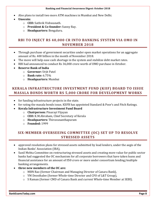- Also plans to install two more ATM machines in Mumbai and New Delhi.
- **Unocoin:**
	- o **CEO:** Sathvik Vishwanath.
	- o **President & Co-founder:** Sunny Ray.
	- o **Headquarters:** Bengaluru.

#### <span id="page-8-0"></span>**RBI TO INJECT RS 40,000 CR INTO BANKING SYSTEM VIA OMO IN NOVEMBER 2018**

- Through purchase of government securities under open market operations for an aggregate amount of Rs. 400 billion in the month of November 2018.
- The move will help ease cash shortage in the system and stabilize debt market rates.
- RBI had announced to conduct Rs 36,000 crore worth of OMO purchase in October.
- **Reserve Bank of India**
	- o **Governor:** Urjit Patel
	- o **Bank rate:** 6.75%
	- o **Headquarters:** Mumbai

#### <span id="page-8-1"></span>**KERALA INFRASTRUCTURE INVESTMENT FUND (KIIF) BOARD TO ISSUE MASALA BONDS WORTH RS 5,000 CRORE FOR DEVELOPMENT WORKS**

- for funding infrastructure projects in the state.
- for rating the masala bonds issue, KIIFB has appointed Standard & Poor's and Fitch Ratings.
- **Kerala Infrastructure Investment Fund Board**
	- o **Chairperson:** Pinarayi Vijayan
	- o **CEO:** K.M.Abraham, Chief Secretary of Kerala
	- o **Headquarters:** Thiruvananthapuram
	- o **Founded:** 1999

#### <span id="page-8-2"></span>**SIX-MEMBER OVERSEEING COMMITTEE (OC) SET UP TO RESOLVE STRESSED ASSETS**

- approved resolution plans for stressed assets submitted by lead lenders, under the aegis of the Indian Banks' Association (IBA),
- Sunil Mehta Committee on restructuring stressed assets and creating more value for public sector banks had suggested the OC mechanism for all corporate borrowers that have taken loans and financial assistance for an amount of  $\mathbb{Z}50$  crore or more under consortium lending/multiple banking arrangements.
- **three new members of the OC are:**
	- o MBN Rao (former Chairman and Managing Director of Canara Bank),
	- o YM Deosthalee (former Whole-time Director and CFO of L&T Group),
	- o S Raman (former CMD of Canara Bank and current Whole-time Member at SEBI).